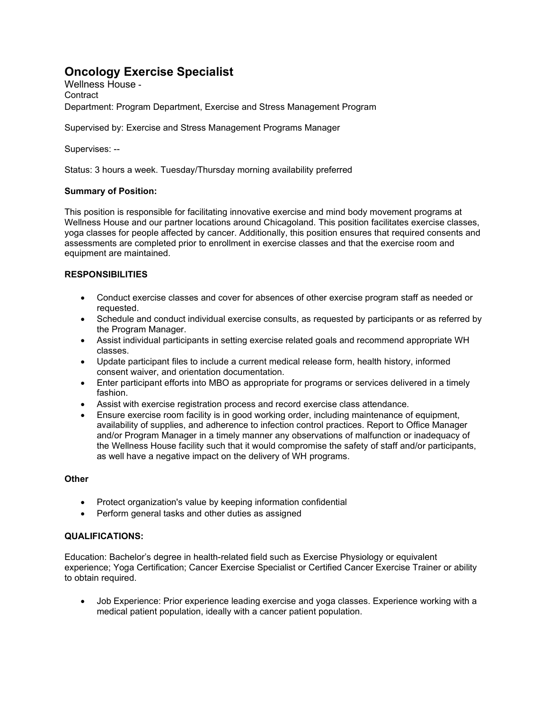# **Oncology Exercise Specialist**

Wellness House - **Contract** Department: Program Department, Exercise and Stress Management Program

Supervised by: Exercise and Stress Management Programs Manager

Supervises: --

Status: 3 hours a week. Tuesday/Thursday morning availability preferred

## **Summary of Position:**

This position is responsible for facilitating innovative exercise and mind body movement programs at Wellness House and our partner locations around Chicagoland. This position facilitates exercise classes, yoga classes for people affected by cancer. Additionally, this position ensures that required consents and assessments are completed prior to enrollment in exercise classes and that the exercise room and equipment are maintained.

# **RESPONSIBILITIES**

- Conduct exercise classes and cover for absences of other exercise program staff as needed or requested.
- Schedule and conduct individual exercise consults, as requested by participants or as referred by the Program Manager.
- Assist individual participants in setting exercise related goals and recommend appropriate WH classes.
- Update participant files to include a current medical release form, health history, informed consent waiver, and orientation documentation.
- Enter participant efforts into MBO as appropriate for programs or services delivered in a timely fashion.
- Assist with exercise registration process and record exercise class attendance.
- Ensure exercise room facility is in good working order, including maintenance of equipment, availability of supplies, and adherence to infection control practices. Report to Office Manager and/or Program Manager in a timely manner any observations of malfunction or inadequacy of the Wellness House facility such that it would compromise the safety of staff and/or participants, as well have a negative impact on the delivery of WH programs.

### **Other**

- Protect organization's value by keeping information confidential
- Perform general tasks and other duties as assigned

#### **QUALIFICATIONS:**

Education: Bachelor's degree in health-related field such as Exercise Physiology or equivalent experience; Yoga Certification; Cancer Exercise Specialist or Certified Cancer Exercise Trainer or ability to obtain required.

• Job Experience: Prior experience leading exercise and yoga classes. Experience working with a medical patient population, ideally with a cancer patient population.